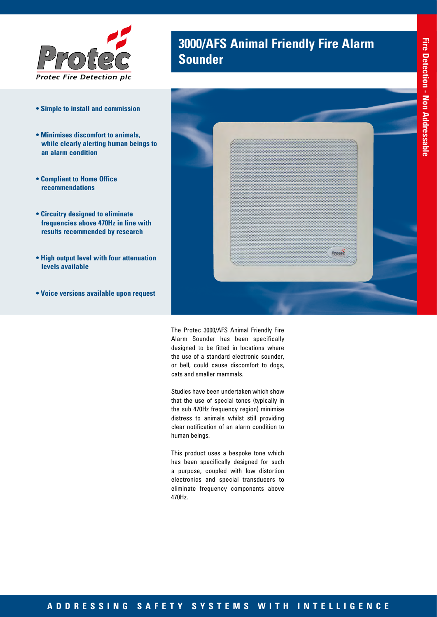

- **Simple to install and commission**
- **Minimises discomfort to animals, while clearly alerting human beings to an alarm condition**
- **Compliant to Home Office recommendations**
- **Circuitry designed to eliminate frequencies above 470Hz in line with results recommended by research**
- **High output level with four attenuation levels available**
- **Voice versions available upon request**

## **3000/AFS Animal Friendly Fire Alarm Sounder**



The Protec 3000/AFS Animal Friendly Fire Alarm Sounder has been specifically designed to be fitted in locations where the use of a standard electronic sounder, or bell, could cause discomfort to dogs, cats and smaller mammals.

Studies have been undertaken which show that the use of special tones (typically in the sub 470Hz frequency region) minimise distress to animals whilst still providing clear notification of an alarm condition to human beings.

This product uses a bespoke tone which has been specifically designed for such a purpose, coupled with low distortion electronics and special transducers to eliminate frequency components above 470Hz.